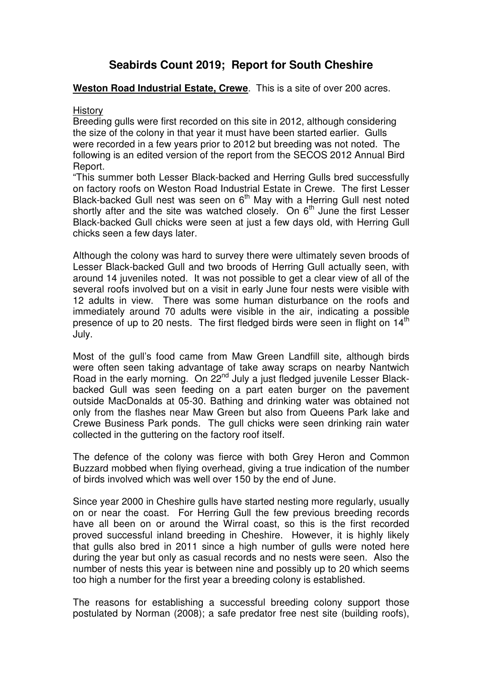# **Seabirds Count 2019; Report for South Cheshire**

# **Weston Road Industrial Estate, Crewe**. This is a site of over 200 acres.

## **History**

Breeding gulls were first recorded on this site in 2012, although considering the size of the colony in that year it must have been started earlier. Gulls were recorded in a few years prior to 2012 but breeding was not noted. The following is an edited version of the report from the SECOS 2012 Annual Bird Report.

"This summer both Lesser Black-backed and Herring Gulls bred successfully on factory roofs on Weston Road Industrial Estate in Crewe. The first Lesser Black-backed Gull nest was seen on 6<sup>th</sup> May with a Herring Gull nest noted shortly after and the site was watched closely. On  $6<sup>th</sup>$  June the first Lesser Black-backed Gull chicks were seen at just a few days old, with Herring Gull chicks seen a few days later.

Although the colony was hard to survey there were ultimately seven broods of Lesser Black-backed Gull and two broods of Herring Gull actually seen, with around 14 juveniles noted. It was not possible to get a clear view of all of the several roofs involved but on a visit in early June four nests were visible with 12 adults in view. There was some human disturbance on the roofs and immediately around 70 adults were visible in the air, indicating a possible presence of up to 20 nests. The first fledged birds were seen in flight on 14<sup>th</sup> July.

Most of the gull's food came from Maw Green Landfill site, although birds were often seen taking advantage of take away scraps on nearby Nantwich Road in the early morning. On 22<sup>nd</sup> July a just fledged juvenile Lesser Blackbacked Gull was seen feeding on a part eaten burger on the pavement outside MacDonalds at 05-30. Bathing and drinking water was obtained not only from the flashes near Maw Green but also from Queens Park lake and Crewe Business Park ponds. The gull chicks were seen drinking rain water collected in the guttering on the factory roof itself.

The defence of the colony was fierce with both Grey Heron and Common Buzzard mobbed when flying overhead, giving a true indication of the number of birds involved which was well over 150 by the end of June.

Since year 2000 in Cheshire gulls have started nesting more regularly, usually on or near the coast. For Herring Gull the few previous breeding records have all been on or around the Wirral coast, so this is the first recorded proved successful inland breeding in Cheshire. However, it is highly likely that gulls also bred in 2011 since a high number of gulls were noted here during the year but only as casual records and no nests were seen. Also the number of nests this year is between nine and possibly up to 20 which seems too high a number for the first year a breeding colony is established.

The reasons for establishing a successful breeding colony support those postulated by Norman (2008); a safe predator free nest site (building roofs),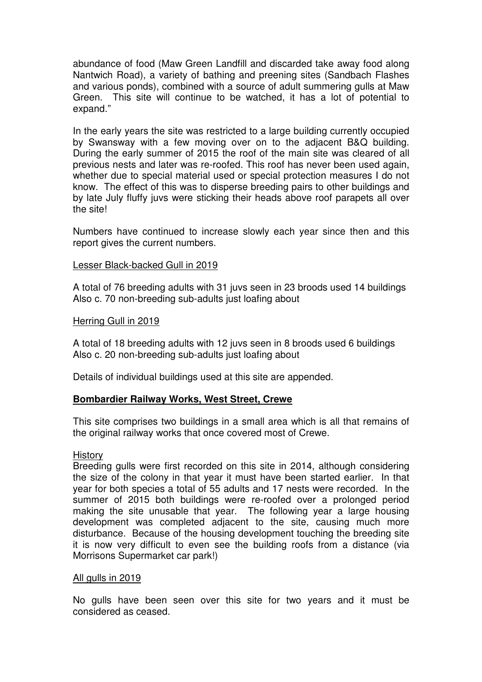abundance of food (Maw Green Landfill and discarded take away food along Nantwich Road), a variety of bathing and preening sites (Sandbach Flashes and various ponds), combined with a source of adult summering gulls at Maw Green. This site will continue to be watched, it has a lot of potential to expand."

In the early years the site was restricted to a large building currently occupied by Swansway with a few moving over on to the adjacent B&Q building. During the early summer of 2015 the roof of the main site was cleared of all previous nests and later was re-roofed. This roof has never been used again, whether due to special material used or special protection measures I do not know. The effect of this was to disperse breeding pairs to other buildings and by late July fluffy juvs were sticking their heads above roof parapets all over the site!

Numbers have continued to increase slowly each year since then and this report gives the current numbers.

## Lesser Black-backed Gull in 2019

A total of 76 breeding adults with 31 juvs seen in 23 broods used 14 buildings Also c. 70 non-breeding sub-adults just loafing about

## Herring Gull in 2019

A total of 18 breeding adults with 12 juvs seen in 8 broods used 6 buildings Also c. 20 non-breeding sub-adults just loafing about

Details of individual buildings used at this site are appended.

## **Bombardier Railway Works, West Street, Crewe**

This site comprises two buildings in a small area which is all that remains of the original railway works that once covered most of Crewe.

## History

Breeding gulls were first recorded on this site in 2014, although considering the size of the colony in that year it must have been started earlier. In that year for both species a total of 55 adults and 17 nests were recorded. In the summer of 2015 both buildings were re-roofed over a prolonged period making the site unusable that year. The following year a large housing development was completed adjacent to the site, causing much more disturbance. Because of the housing development touching the breeding site it is now very difficult to even see the building roofs from a distance (via Morrisons Supermarket car park!)

## All gulls in 2019

No gulls have been seen over this site for two years and it must be considered as ceased.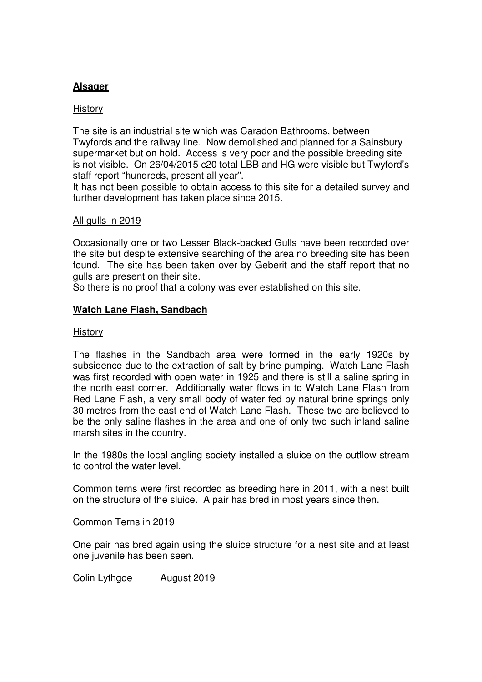# **Alsager**

# History

The site is an industrial site which was Caradon Bathrooms, between Twyfords and the railway line. Now demolished and planned for a Sainsbury supermarket but on hold. Access is very poor and the possible breeding site is not visible. On 26/04/2015 c20 total LBB and HG were visible but Twyford's staff report "hundreds, present all year".

It has not been possible to obtain access to this site for a detailed survey and further development has taken place since 2015.

## All gulls in 2019

Occasionally one or two Lesser Black-backed Gulls have been recorded over the site but despite extensive searching of the area no breeding site has been found. The site has been taken over by Geberit and the staff report that no gulls are present on their site.

So there is no proof that a colony was ever established on this site.

# **Watch Lane Flash, Sandbach**

## **History**

The flashes in the Sandbach area were formed in the early 1920s by subsidence due to the extraction of salt by brine pumping. Watch Lane Flash was first recorded with open water in 1925 and there is still a saline spring in the north east corner. Additionally water flows in to Watch Lane Flash from Red Lane Flash, a very small body of water fed by natural brine springs only 30 metres from the east end of Watch Lane Flash. These two are believed to be the only saline flashes in the area and one of only two such inland saline marsh sites in the country.

In the 1980s the local angling society installed a sluice on the outflow stream to control the water level.

Common terns were first recorded as breeding here in 2011, with a nest built on the structure of the sluice. A pair has bred in most years since then.

## Common Terns in 2019

One pair has bred again using the sluice structure for a nest site and at least one juvenile has been seen.

Colin Lythgoe August 2019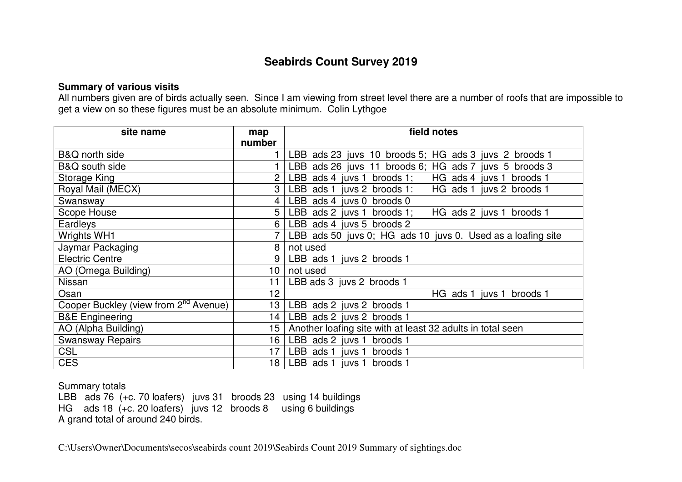# **Seabirds Count Survey 2019**

# **Summary of various visits**

 All numbers given are of birds actually seen. Since I am viewing from street level there are a number of roofs that are impossible to get a view on so these figures must be an absolute minimum. Colin Lythgoe

| site name                                         | map    | field notes                                                 |
|---------------------------------------------------|--------|-------------------------------------------------------------|
|                                                   | number |                                                             |
| B&Q north side                                    |        | LBB ads 23 juvs 10 broods 5; HG ads 3 juvs 2 broods 1       |
| B&Q south side                                    |        | LBB ads 26 juvs 11 broods 6; HG ads 7 juvs 5 broods 3       |
| Storage King                                      | 2      | HG ads 4 juvs 1<br>LBB ads 4 juvs 1 broods 1;<br>broods 1   |
| Royal Mail (MECX)                                 | 3      | LBB ads 1 juvs 2 broods 1: HG ads 1 juvs 2 broods 1         |
| Swansway                                          | 4      | LBB ads 4 juvs 0 broods 0                                   |
| Scope House                                       | 5      | LBB ads 2 juvs 1 broods 1;<br>HG ads 2 juvs 1 broods 1      |
| Eardleys                                          | 6      | LBB ads 4 juvs 5 broods 2                                   |
| <b>Wrights WH1</b>                                |        | LBB ads 50 juvs 0; HG ads 10 juvs 0. Used as a loafing site |
| Jaymar Packaging                                  | 8      | not used                                                    |
| <b>Electric Centre</b>                            | 9      | LBB ads 1 juvs 2 broods 1                                   |
| AO (Omega Building)                               | 10     | not used                                                    |
| Nissan                                            | 11     | LBB ads 3 juvs 2 broods 1                                   |
| Osan                                              | 12     | HG ads 1 juvs 1<br>broods 1                                 |
| Cooper Buckley (view from 2 <sup>nd</sup> Avenue) | 13     | LBB ads 2 juvs 2 broods 1                                   |
| <b>B&amp;E</b> Engineering                        | 14     | LBB ads 2 juvs 2 broods 1                                   |
| AO (Alpha Building)                               | 15     | Another loafing site with at least 32 adults in total seen  |
| <b>Swansway Repairs</b>                           | 16     | LBB ads 2 juvs 1 broods 1                                   |
| <b>CSL</b>                                        | 17     | LBB ads 1 juvs 1 broods 1                                   |
| <b>CES</b>                                        | 18     | LBB ads 1 juvs 1 broods 1                                   |

Summary totals

LBB ads 76 (+c. 70 loafers) juvs 31 broods 23 using 14 buildings HG ads 18 (+c. 20 loafers) juvs 12 broods 8 using 6 buildings A grand total of around 240 birds.